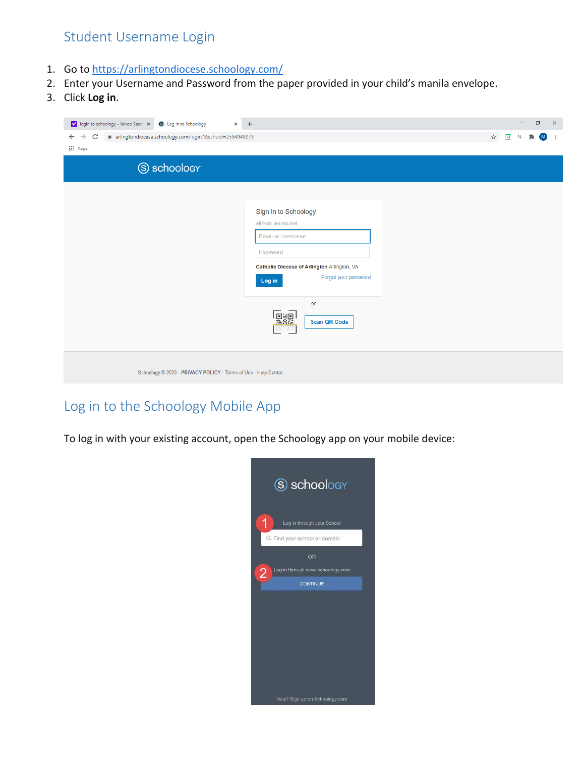## Student Username Login

- 1. Go to <https://arlingtondiocese.schoology.com/>
- 2. Enter your Username and Password from the paper provided in your child's manila envelope.
- 3. Click **Log in**.

| y' login to schoology - Yahoo Searc X<br>S Log in to Schoology                                  | $\times$ +                                                                                                                                                                                                         |                            |                | - | $\Box$ | $\times$ |
|-------------------------------------------------------------------------------------------------|--------------------------------------------------------------------------------------------------------------------------------------------------------------------------------------------------------------------|----------------------------|----------------|---|--------|----------|
| ■ arlingtondiocese.schoology.com/login?&school=2584948373<br>C<br>$\rightarrow$<br>$\leftarrow$ |                                                                                                                                                                                                                    | $\overleftrightarrow{\pi}$ | $\overline{a}$ | Q | (M)    | ÷        |
| <b>III</b> Apps                                                                                 |                                                                                                                                                                                                                    |                            |                |   |        |          |
| S schoology <sup>®</sup>                                                                        |                                                                                                                                                                                                                    |                            |                |   |        |          |
|                                                                                                 | Sign in to Schoology<br>All fields are required<br><b>Email or Username</b><br>Password<br>Catholic Diocese of Arlington Arlington, VA<br>Forgot your password<br>Log in<br>or<br><u>F.</u><br><b>Scan QR Code</b> |                            |                |   |        |          |
| Schoology @ 2020 · PRIVACY POLICY · Terms of Use · Help Center                                  |                                                                                                                                                                                                                    |                            |                |   |        |          |

## Log in to the Schoology Mobile App

To log in with your existing account, open the Schoology app on your mobile device: